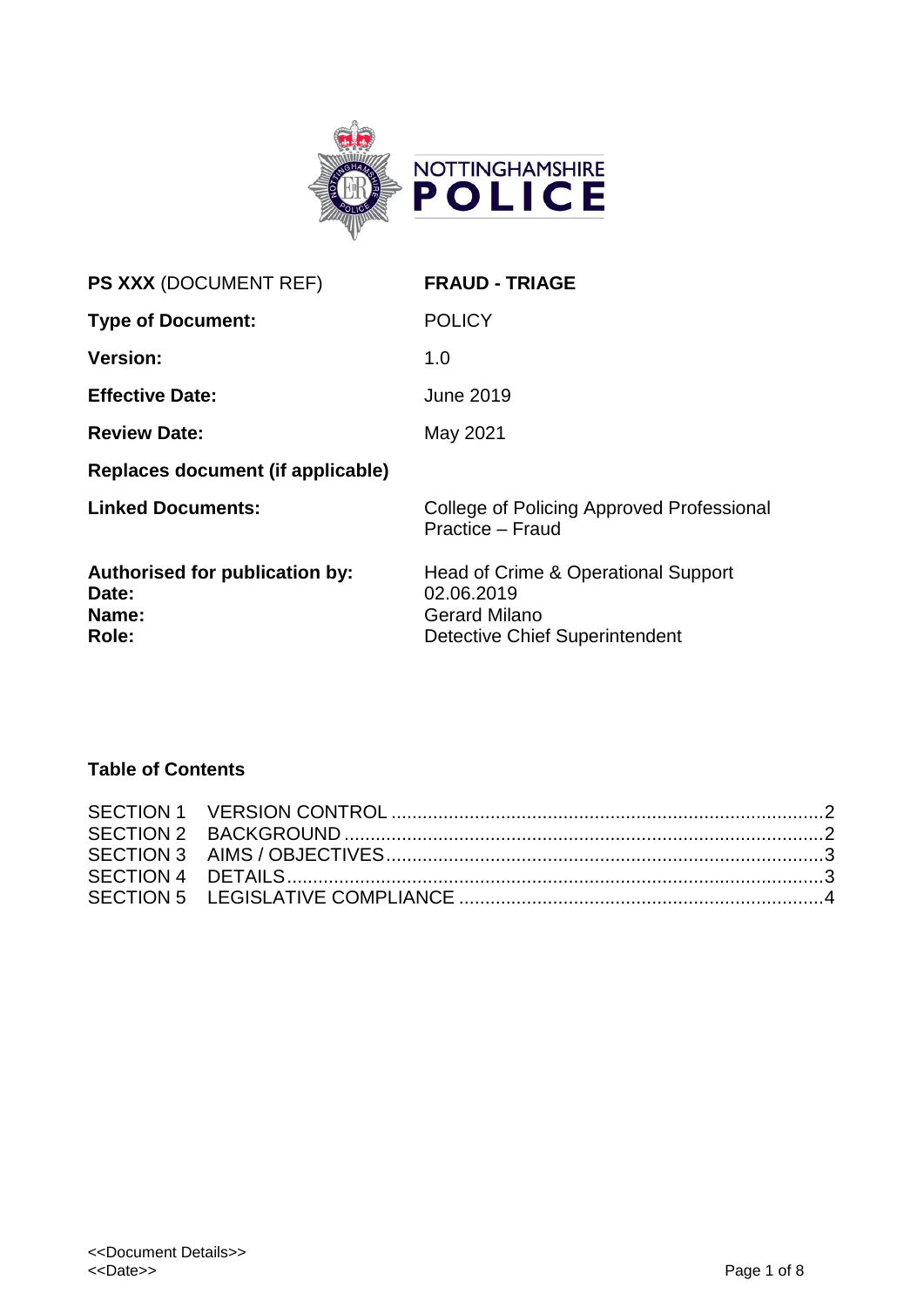

| PS XXX (DOCUMENT REF)                                     | <b>FRAUD - TRIAGE</b>                                                                                       |
|-----------------------------------------------------------|-------------------------------------------------------------------------------------------------------------|
| <b>Type of Document:</b>                                  | <b>POLICY</b>                                                                                               |
| <b>Version:</b>                                           | 1.0                                                                                                         |
| <b>Effective Date:</b>                                    | <b>June 2019</b>                                                                                            |
| <b>Review Date:</b>                                       | May 2021                                                                                                    |
| Replaces document (if applicable)                         |                                                                                                             |
| <b>Linked Documents:</b>                                  | College of Policing Approved Professional<br>Practice - Fraud                                               |
| Authorised for publication by:<br>Date:<br>Name:<br>Role: | Head of Crime & Operational Support<br>02.06.2019<br><b>Gerard Milano</b><br>Detective Chief Superintendent |
|                                                           |                                                                                                             |

# **Table of Contents**

<span id="page-0-0"></span>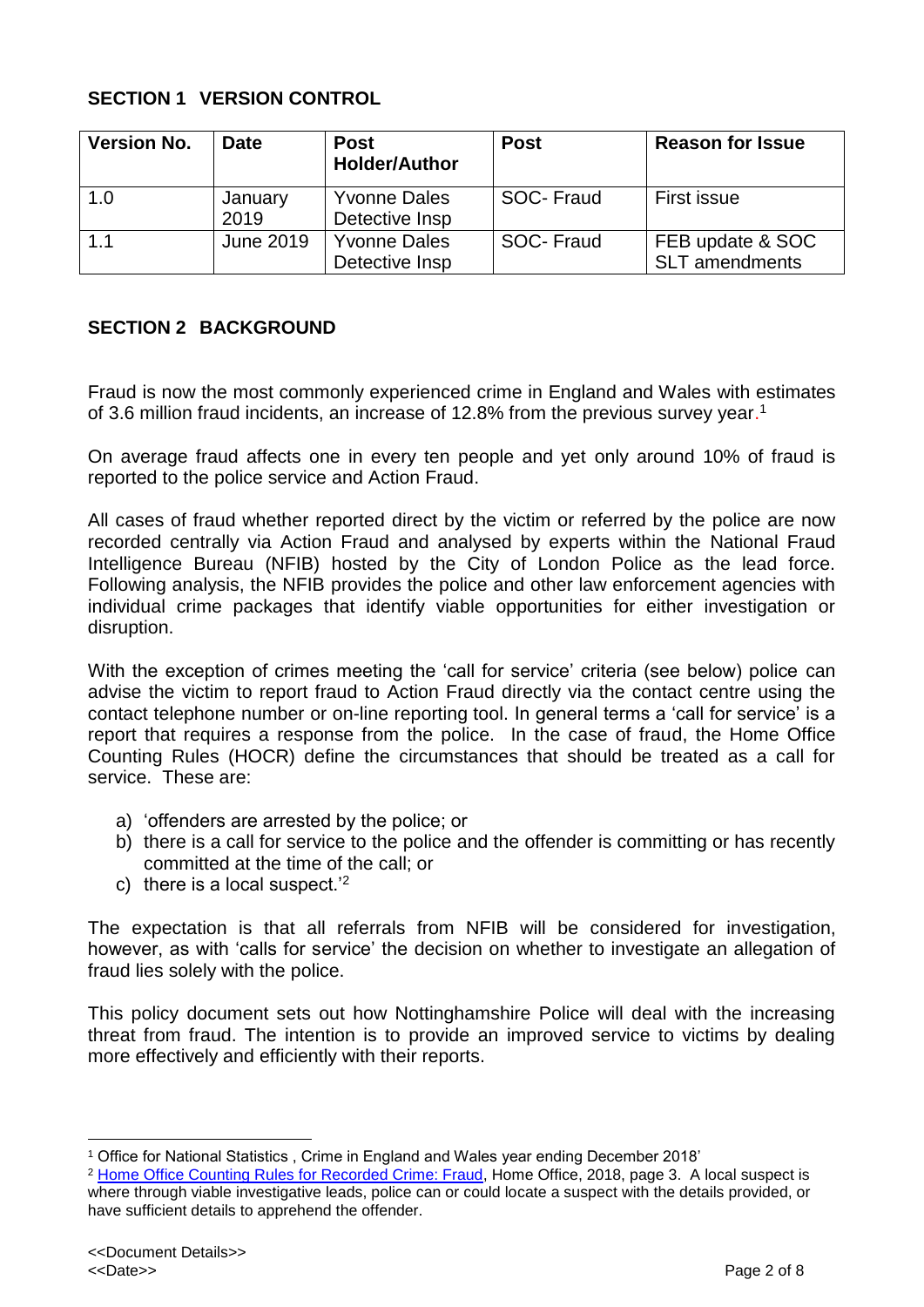## **SECTION 1 VERSION CONTROL**

| <b>Version No.</b> | <b>Date</b>     | <b>Post</b><br><b>Holder/Author</b>   | <b>Post</b> | <b>Reason for Issue</b>                   |
|--------------------|-----------------|---------------------------------------|-------------|-------------------------------------------|
| 1.0                | January<br>2019 | <b>Yvonne Dales</b><br>Detective Insp | SOC-Fraud   | First issue                               |
| 1.1                | June 2019       | <b>Yvonne Dales</b><br>Detective Insp | SOC-Fraud   | FEB update & SOC<br><b>SLT</b> amendments |

## <span id="page-1-0"></span>**SECTION 2 BACKGROUND**

Fraud is now the most commonly experienced crime in England and Wales with estimates of 3.6 million fraud incidents, an increase of 12.8% from the previous survey year.<sup>1</sup>

On average fraud affects one in every ten people and yet only around 10% of fraud is reported to the police service and Action Fraud.

All cases of fraud whether reported direct by the victim or referred by the police are now recorded centrally via Action Fraud and analysed by experts within the National Fraud Intelligence Bureau (NFIB) hosted by the City of London Police as the lead force. Following analysis, the NFIB provides the police and other law enforcement agencies with individual crime packages that identify viable opportunities for either investigation or disruption.

With the exception of crimes meeting the 'call for service' criteria (see below) police can advise the victim to report fraud to Action Fraud directly via the contact centre using the contact telephone number or on-line reporting tool. In general terms a 'call for service' is a report that requires a response from the police. In the case of fraud, the Home Office Counting Rules (HOCR) define the circumstances that should be treated as a call for service. These are:

- a) 'offenders are arrested by the police; or
- b) there is a call for service to the police and the offender is committing or has recently committed at the time of the call; or
- c) there is a local suspect.'<sup>2</sup>

The expectation is that all referrals from NFIB will be considered for investigation, however, as with 'calls for service' the decision on whether to investigate an allegation of fraud lies solely with the police.

This policy document sets out how Nottinghamshire Police will deal with the increasing threat from fraud. The intention is to provide an improved service to victims by dealing more effectively and efficiently with their reports.

<sup>1</sup> Office for National Statistics , Crime in England and Wales year ending December 2018'

<sup>2</sup> [Home Office Counting Rules for Recorded Crime: Fraud,](https://www.justiceinspectorates.gov.uk/hmicfrs/wp-content/uploads/fraud-time-to-choose-an-inspection-of-the-police-response-to-fraud.pdf) Home Office, 2018, page 3. A local suspect is where through viable investigative leads, police can or could locate a suspect with the details provided, or have sufficient details to apprehend the offender.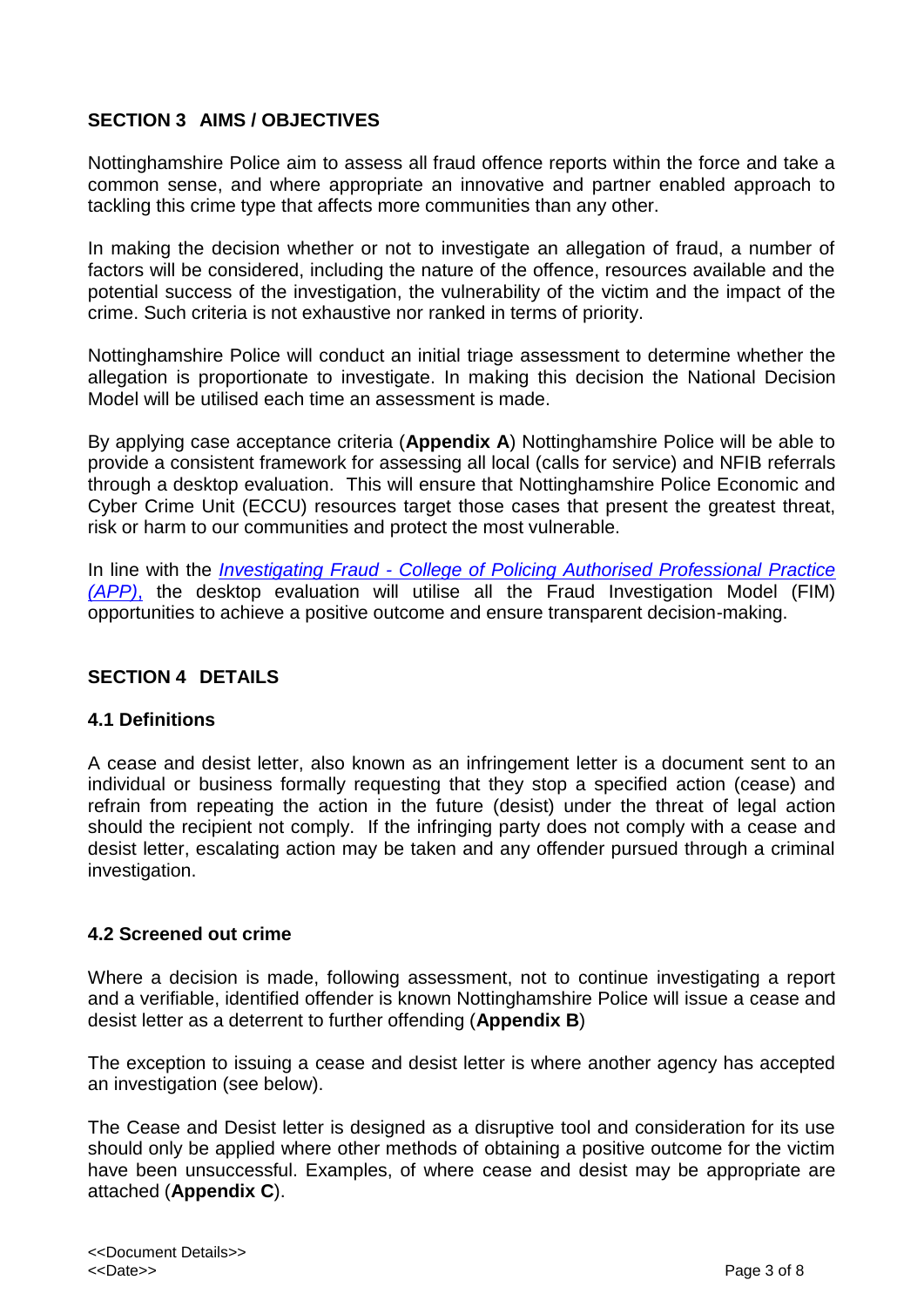# <span id="page-2-0"></span>**SECTION 3 AIMS / OBJECTIVES**

Nottinghamshire Police aim to assess all fraud offence reports within the force and take a common sense, and where appropriate an innovative and partner enabled approach to tackling this crime type that affects more communities than any other.

In making the decision whether or not to investigate an allegation of fraud, a number of factors will be considered, including the nature of the offence, resources available and the potential success of the investigation, the vulnerability of the victim and the impact of the crime. Such criteria is not exhaustive nor ranked in terms of priority.

Nottinghamshire Police will conduct an initial triage assessment to determine whether the allegation is proportionate to investigate. In making this decision the National Decision Model will be utilised each time an assessment is made.

By applying case acceptance criteria (**Appendix A**) Nottinghamshire Police will be able to provide a consistent framework for assessing all local (calls for service) and NFIB referrals through a desktop evaluation. This will ensure that Nottinghamshire Police Economic and Cyber Crime Unit (ECCU) resources target those cases that present the greatest threat, risk or harm to our communities and protect the most vulnerable.

In line with the *Investigating Fraud - [College of Policing Authorised Professional Practice](https://www.app.college.police.uk/app-content/investigations/investigating-fraud/) [\(APP\)](https://www.app.college.police.uk/app-content/investigations/investigating-fraud/)*, the desktop evaluation will utilise all the Fraud Investigation Model (FIM) opportunities to achieve a positive outcome and ensure transparent decision-making.

## <span id="page-2-1"></span>**SECTION 4 DETAILS**

#### **4.1 Definitions**

A cease and desist letter, also known as an infringement letter is a document sent to an individual or business formally requesting that they stop a specified action (cease) and refrain from repeating the action in the future (desist) under the threat of legal action should the recipient not comply. If the infringing party does not comply with a cease and desist letter, escalating action may be taken and any offender pursued through a criminal investigation.

#### **4.2 Screened out crime**

Where a decision is made, following assessment, not to continue investigating a report and a verifiable, identified offender is known Nottinghamshire Police will issue a cease and desist letter as a deterrent to further offending (**Appendix B**)

The exception to issuing a cease and desist letter is where another agency has accepted an investigation (see below).

The Cease and Desist letter is designed as a disruptive tool and consideration for its use should only be applied where other methods of obtaining a positive outcome for the victim have been unsuccessful. Examples, of where cease and desist may be appropriate are attached (**Appendix C**).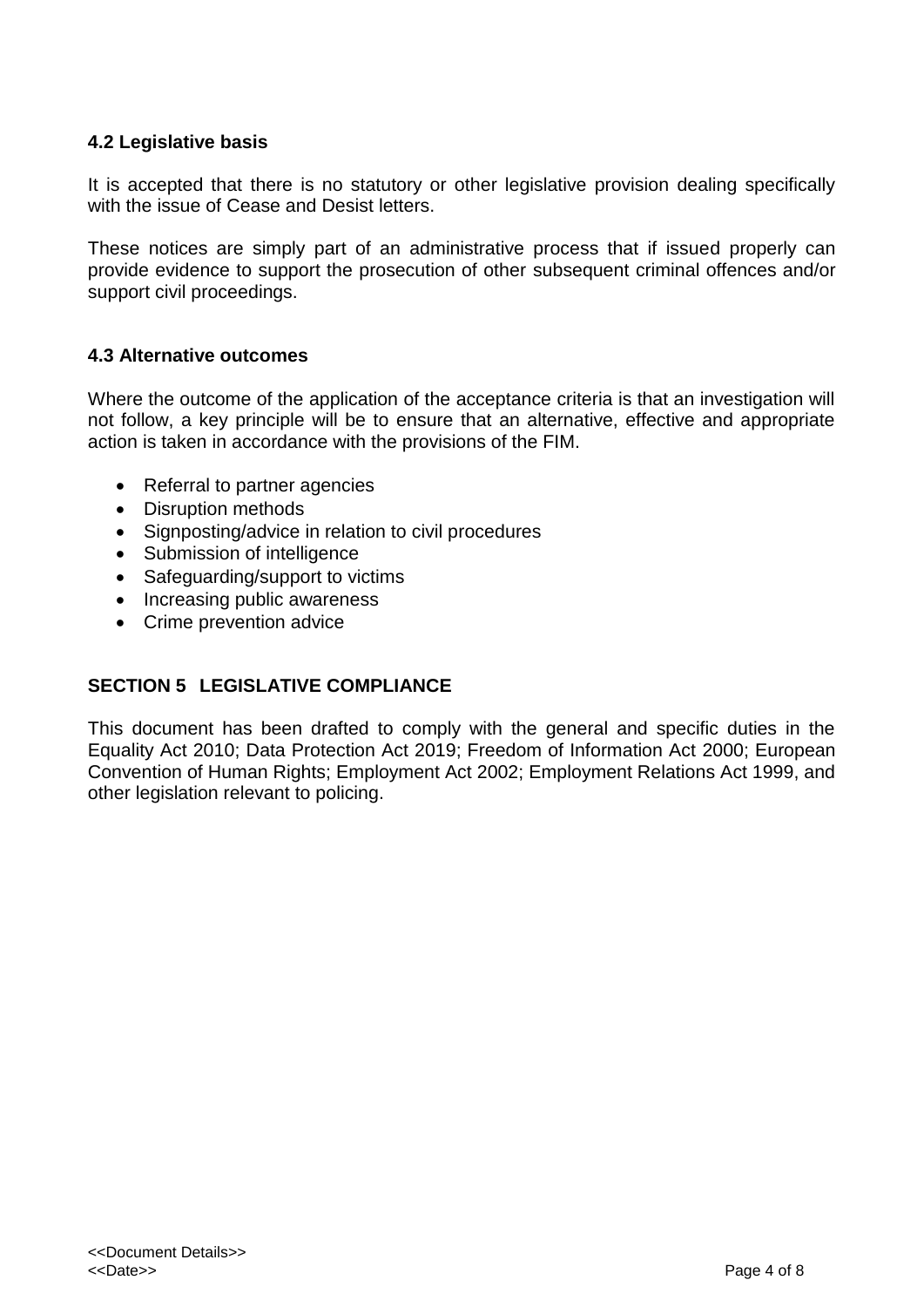## **4.2 Legislative basis**

It is accepted that there is no statutory or other legislative provision dealing specifically with the issue of Cease and Desist letters.

These notices are simply part of an administrative process that if issued properly can provide evidence to support the prosecution of other subsequent criminal offences and/or support civil proceedings.

#### **4.3 Alternative outcomes**

Where the outcome of the application of the acceptance criteria is that an investigation will not follow, a key principle will be to ensure that an alternative, effective and appropriate action is taken in accordance with the provisions of the FIM.

- Referral to partner agencies
- Disruption methods
- Signposting/advice in relation to civil procedures
- Submission of intelligence
- Safeguarding/support to victims
- Increasing public awareness
- Crime prevention advice

## <span id="page-3-0"></span>**SECTION 5 LEGISLATIVE COMPLIANCE**

This document has been drafted to comply with the general and specific duties in the Equality Act 2010; Data Protection Act 2019; Freedom of Information Act 2000; European Convention of Human Rights; Employment Act 2002; Employment Relations Act 1999, and other legislation relevant to policing.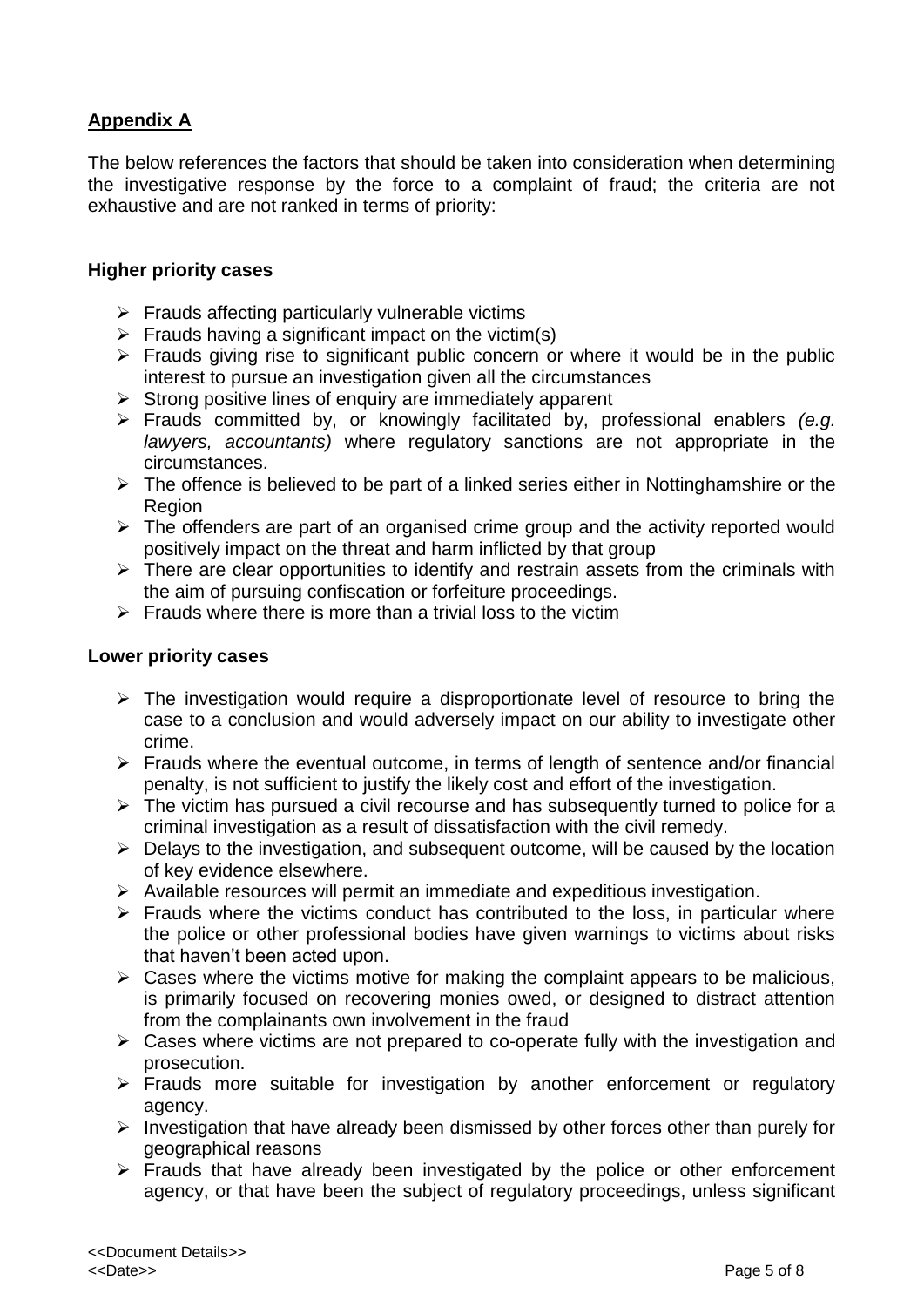# **Appendix A**

The below references the factors that should be taken into consideration when determining the investigative response by the force to a complaint of fraud; the criteria are not exhaustive and are not ranked in terms of priority:

#### **Higher priority cases**

- $\triangleright$  Frauds affecting particularly vulnerable victims
- $\triangleright$  Frauds having a significant impact on the victim(s)
- $\triangleright$  Frauds giving rise to significant public concern or where it would be in the public interest to pursue an investigation given all the circumstances
- $\triangleright$  Strong positive lines of enquiry are immediately apparent
- Frauds committed by, or knowingly facilitated by, professional enablers *(e.g. lawyers, accountants)* where regulatory sanctions are not appropriate in the circumstances.
- $\triangleright$  The offence is believed to be part of a linked series either in Nottinghamshire or the Region
- $\triangleright$  The offenders are part of an organised crime group and the activity reported would positively impact on the threat and harm inflicted by that group
- $\triangleright$  There are clear opportunities to identify and restrain assets from the criminals with the aim of pursuing confiscation or forfeiture proceedings.
- $\triangleright$  Frauds where there is more than a trivial loss to the victim

#### **Lower priority cases**

- $\triangleright$  The investigation would require a disproportionate level of resource to bring the case to a conclusion and would adversely impact on our ability to investigate other crime.
- $\triangleright$  Frauds where the eventual outcome, in terms of length of sentence and/or financial penalty, is not sufficient to justify the likely cost and effort of the investigation.
- $\triangleright$  The victim has pursued a civil recourse and has subsequently turned to police for a criminal investigation as a result of dissatisfaction with the civil remedy.
- $\triangleright$  Delays to the investigation, and subsequent outcome, will be caused by the location of key evidence elsewhere.
- $\triangleright$  Available resources will permit an immediate and expeditious investigation.
- $\triangleright$  Frauds where the victims conduct has contributed to the loss, in particular where the police or other professional bodies have given warnings to victims about risks that haven't been acted upon.
- $\triangleright$  Cases where the victims motive for making the complaint appears to be malicious, is primarily focused on recovering monies owed, or designed to distract attention from the complainants own involvement in the fraud
- $\triangleright$  Cases where victims are not prepared to co-operate fully with the investigation and prosecution.
- Frauds more suitable for investigation by another enforcement or regulatory agency.
- $\triangleright$  Investigation that have already been dismissed by other forces other than purely for geographical reasons
- $\triangleright$  Frauds that have already been investigated by the police or other enforcement agency, or that have been the subject of regulatory proceedings, unless significant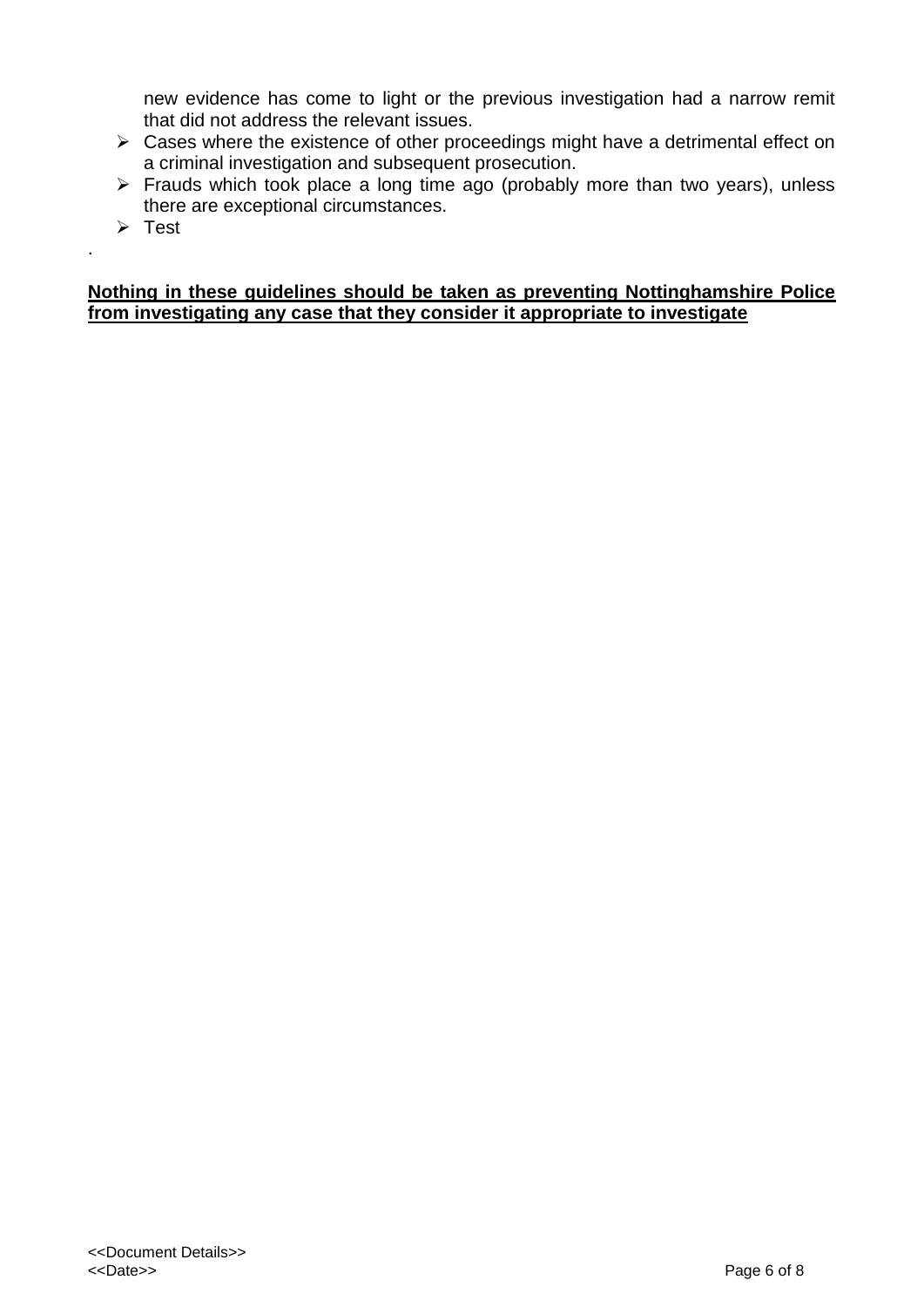new evidence has come to light or the previous investigation had a narrow remit that did not address the relevant issues.

- $\triangleright$  Cases where the existence of other proceedings might have a detrimental effect on a criminal investigation and subsequent prosecution.
- $\triangleright$  Frauds which took place a long time ago (probably more than two years), unless there are exceptional circumstances.
- $\triangleright$  Test

.

#### **Nothing in these guidelines should be taken as preventing Nottinghamshire Police from investigating any case that they consider it appropriate to investigate**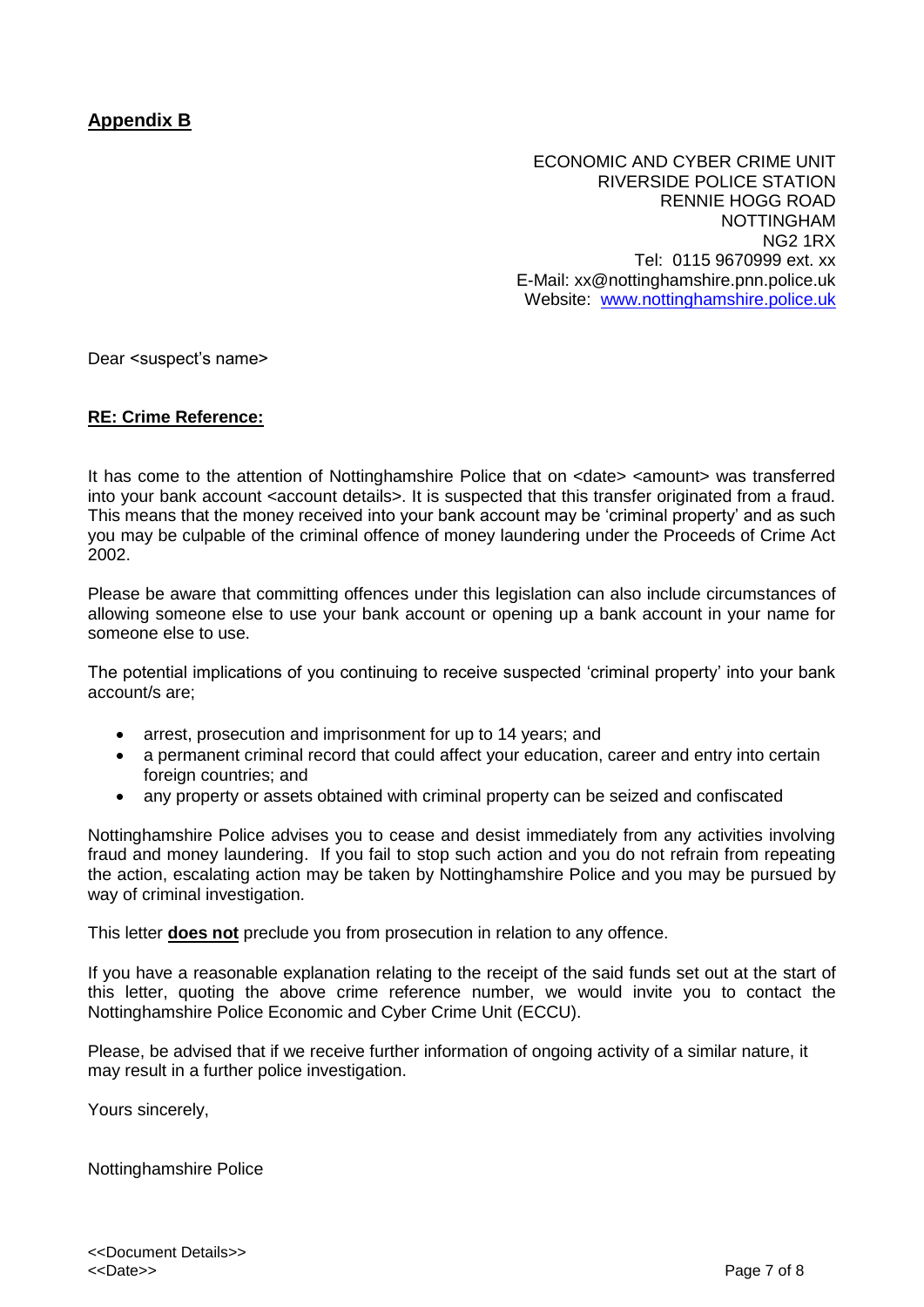## **Appendix B**

ECONOMIC AND CYBER CRIME UNIT RIVERSIDE POLICE STATION RENNIE HOGG ROAD NOTTINGHAM NG2 1RX Tel: 0115 9670999 ext. xx E-Mail: xx@nottinghamshire.pnn.police.uk Website: <www.nottinghamshire.police.uk>

Dear <suspect's name>

#### **RE: Crime Reference:**

It has come to the attention of Nottinghamshire Police that on <date> <amount> was transferred into your bank account <account details>. It is suspected that this transfer originated from a fraud. This means that the money received into your bank account may be 'criminal property' and as such you may be culpable of the criminal offence of money laundering under the Proceeds of Crime Act 2002.

Please be aware that committing offences under this legislation can also include circumstances of allowing someone else to use your bank account or opening up a bank account in your name for someone else to use.

The potential implications of you continuing to receive suspected 'criminal property' into your bank account/s are;

- arrest, prosecution and imprisonment for up to 14 years; and
- a permanent criminal record that could affect your education, career and entry into certain foreign countries; and
- any property or assets obtained with criminal property can be seized and confiscated

Nottinghamshire Police advises you to cease and desist immediately from any activities involving fraud and money laundering. If you fail to stop such action and you do not refrain from repeating the action, escalating action may be taken by Nottinghamshire Police and you may be pursued by way of criminal investigation.

This letter **does not** preclude you from prosecution in relation to any offence.

If you have a reasonable explanation relating to the receipt of the said funds set out at the start of this letter, quoting the above crime reference number, we would invite you to contact the Nottinghamshire Police Economic and Cyber Crime Unit (ECCU).

Please, be advised that if we receive further information of ongoing activity of a similar nature, it may result in a further police investigation.

Yours sincerely,

Nottinghamshire Police